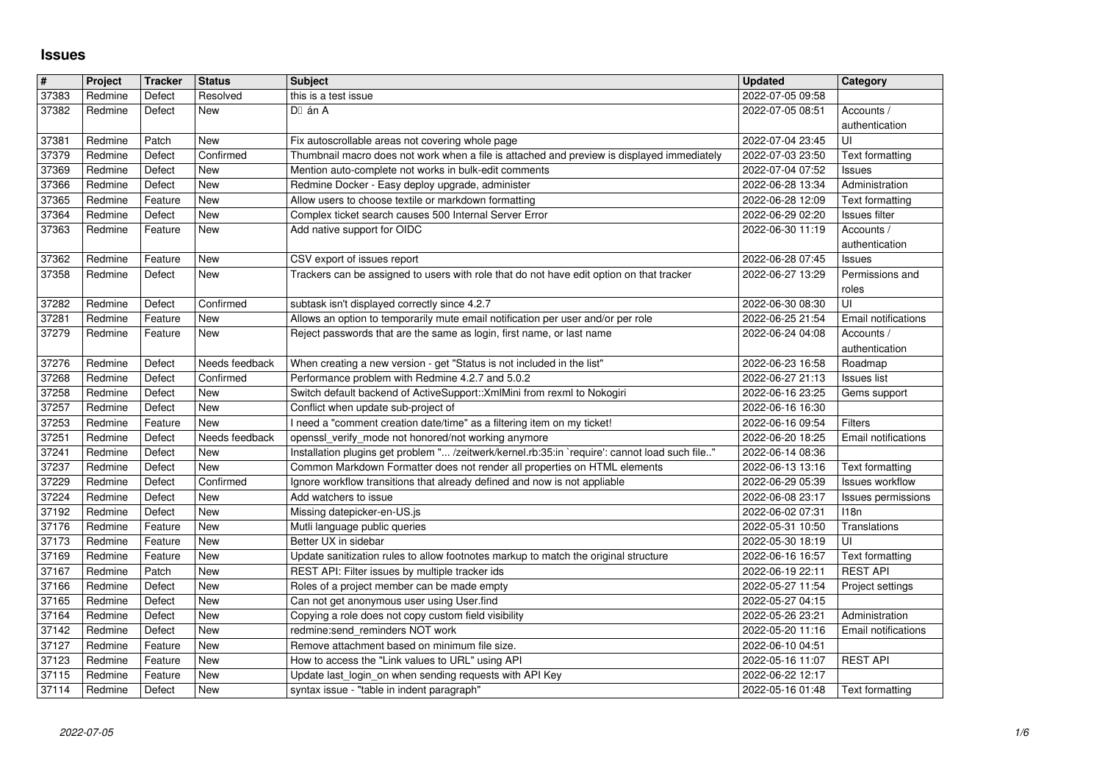## **Issues**

| $\vert$ #      | Project            | <b>Tracker</b>    | <b>Status</b>     | <b>Subject</b>                                                                                                                                                              | <b>Updated</b>                       | Category                            |
|----------------|--------------------|-------------------|-------------------|-----------------------------------------------------------------------------------------------------------------------------------------------------------------------------|--------------------------------------|-------------------------------------|
| 37383<br>37382 | Redmine<br>Redmine | Defect<br>Defect  | Resolved<br>New   | this is a test issue<br>DI án A                                                                                                                                             | 2022-07-05 09:58<br>2022-07-05 08:51 | Accounts /                          |
|                |                    |                   |                   |                                                                                                                                                                             |                                      | authentication                      |
| 37381          | Redmine            | Patch             | New               | Fix autoscrollable areas not covering whole page                                                                                                                            | 2022-07-04 23:45                     | UI                                  |
| 37379<br>37369 | Redmine<br>Redmine | Defect<br>Defect  | Confirmed<br>New  | Thumbnail macro does not work when a file is attached and preview is displayed immediately<br>Mention auto-complete not works in bulk-edit comments                         | 2022-07-03 23:50<br>2022-07-04 07:52 | Text formatting<br>Issues           |
| 37366          | Redmine            | Defect            | New               | Redmine Docker - Easy deploy upgrade, administer                                                                                                                            | 2022-06-28 13:34                     | Administration                      |
| 37365          | Redmine            | Feature           | New               | Allow users to choose textile or markdown formatting                                                                                                                        | 2022-06-28 12:09                     | Text formatting                     |
| 37364<br>37363 | Redmine<br>Redmine | Defect<br>Feature | New<br>New        | Complex ticket search causes 500 Internal Server Error<br>Add native support for OIDC                                                                                       | 2022-06-29 02:20<br>2022-06-30 11:19 | <b>Issues filter</b><br>Accounts /  |
|                |                    |                   |                   |                                                                                                                                                                             |                                      | authentication                      |
| 37362          | Redmine            | Feature           | New               | CSV export of issues report                                                                                                                                                 | 2022-06-28 07:45                     | Issues                              |
| 37358          | Redmine            | Defect            | New               | Trackers can be assigned to users with role that do not have edit option on that tracker                                                                                    | 2022-06-27 13:29                     | Permissions and<br>roles            |
| 37282          | Redmine            | Defect            | Confirmed         | subtask isn't displayed correctly since 4.2.7                                                                                                                               | 2022-06-30 08:30                     | UI                                  |
| 37281          | Redmine            | Feature           | New               | Allows an option to temporarily mute email notification per user and/or per role                                                                                            | 2022-06-25 21:54                     | Email notifications                 |
| 37279          | Redmine            | Feature           | New               | Reject passwords that are the same as login, first name, or last name                                                                                                       | 2022-06-24 04:08                     | Accounts /<br>authentication        |
| 37276          | Redmine            | Defect            | Needs feedback    | When creating a new version - get "Status is not included in the list"                                                                                                      | 2022-06-23 16:58                     | Roadmap                             |
| 37268          | Redmine            | Defect            | Confirmed         | Performance problem with Redmine 4.2.7 and 5.0.2                                                                                                                            | 2022-06-27 21:13                     | <b>Issues list</b>                  |
| 37258<br>37257 | Redmine<br>Redmine | Defect<br>Defect  | New<br>New        | Switch default backend of ActiveSupport:: XmlMini from rexml to Nokogiri<br>Conflict when update sub-project of                                                             | 2022-06-16 23:25<br>2022-06-16 16:30 | Gems support                        |
| 37253          | Redmine            | Feature           | New               | I need a "comment creation date/time" as a filtering item on my ticket!                                                                                                     | 2022-06-16 09:54                     | Filters                             |
| 37251          | Redmine            | Defect            | Needs feedback    | openssl_verify_mode not honored/not working anymore                                                                                                                         | 2022-06-20 18:25                     | Email notifications                 |
| 37241<br>37237 | Redmine<br>Redmine | Defect<br>Defect  | New<br>New        | Installation plugins get problem " /zeitwerk/kernel.rb:35:in `require': cannot load such file"<br>Common Markdown Formatter does not render all properties on HTML elements | 2022-06-14 08:36<br>2022-06-13 13:16 | Text formatting                     |
| 37229          | Redmine            | Defect            | Confirmed         | Ignore workflow transitions that already defined and now is not appliable                                                                                                   | 2022-06-29 05:39                     | <b>Issues workflow</b>              |
| 37224          | Redmine            | Defect            | New               | Add watchers to issue                                                                                                                                                       | 2022-06-08 23:17                     | Issues permissions                  |
| 37192<br>37176 | Redmine<br>Redmine | Defect<br>Feature | New<br>New        | Missing datepicker-en-US.js<br>Mutli language public queries                                                                                                                | 2022-06-02 07:31<br>2022-05-31 10:50 | 118n<br>Translations                |
| 37173          | Redmine            | Feature           | New               | Better UX in sidebar                                                                                                                                                        | 2022-05-30 18:19                     | UI                                  |
| 37169          | Redmine            | Feature           | New               | Update sanitization rules to allow footnotes markup to match the original structure                                                                                         | 2022-06-16 16:57                     | Text formatting                     |
| 37167<br>37166 | Redmine<br>Redmine | Patch<br>Defect   | New<br>New        | REST API: Filter issues by multiple tracker ids<br>Roles of a project member can be made empty                                                                              | 2022-06-19 22:11<br>2022-05-27 11:54 | <b>REST API</b><br>Project settings |
| 37165          | Redmine            | Defect            | New               | Can not get anonymous user using User.find                                                                                                                                  | 2022-05-27 04:15                     |                                     |
| 37164          | Redmine            | Defect            | New               | Copying a role does not copy custom field visibility                                                                                                                        | 2022-05-26 23:21                     | Administration                      |
| 37142<br>37127 | Redmine<br>Redmine | Defect<br>Feature | New<br><b>New</b> | redmine:send_reminders NOT work<br>Remove attachment based on minimum file size.                                                                                            | 2022-05-20 11:16<br>2022-06-10 04:51 | Email notifications                 |
| 37123          | Redmine            | Feature           | New               | How to access the "Link values to URL" using API                                                                                                                            | 2022-05-16 11:07                     | <b>REST API</b>                     |
| 37115<br>37114 | Redmine<br>Redmine | Feature<br>Defect | New<br>New        | Update last_login_on when sending requests with API Key<br>syntax issue - "table in indent paragraph"                                                                       | 2022-06-22 12:17<br>2022-05-16 01:48 | Text formatting                     |
|                |                    |                   |                   |                                                                                                                                                                             |                                      |                                     |
|                |                    |                   |                   |                                                                                                                                                                             |                                      |                                     |
|                |                    |                   |                   |                                                                                                                                                                             |                                      |                                     |
|                |                    |                   |                   |                                                                                                                                                                             |                                      |                                     |
|                |                    |                   |                   |                                                                                                                                                                             |                                      |                                     |
|                |                    |                   |                   |                                                                                                                                                                             |                                      |                                     |
|                |                    |                   |                   |                                                                                                                                                                             |                                      |                                     |
|                |                    |                   |                   |                                                                                                                                                                             |                                      |                                     |
|                |                    |                   |                   |                                                                                                                                                                             |                                      |                                     |
|                |                    |                   |                   |                                                                                                                                                                             |                                      |                                     |
|                |                    |                   |                   |                                                                                                                                                                             |                                      |                                     |
|                |                    |                   |                   |                                                                                                                                                                             |                                      |                                     |
|                |                    |                   |                   |                                                                                                                                                                             |                                      |                                     |
|                |                    |                   |                   |                                                                                                                                                                             |                                      |                                     |
|                |                    |                   |                   |                                                                                                                                                                             |                                      |                                     |
|                |                    |                   |                   |                                                                                                                                                                             |                                      |                                     |
|                |                    |                   |                   |                                                                                                                                                                             |                                      |                                     |
|                |                    |                   |                   |                                                                                                                                                                             |                                      |                                     |
|                |                    |                   |                   |                                                                                                                                                                             |                                      |                                     |
|                |                    |                   |                   |                                                                                                                                                                             |                                      |                                     |
|                |                    |                   |                   |                                                                                                                                                                             |                                      |                                     |
|                |                    |                   |                   |                                                                                                                                                                             |                                      |                                     |
|                |                    |                   |                   |                                                                                                                                                                             |                                      |                                     |
|                |                    |                   |                   |                                                                                                                                                                             |                                      |                                     |
|                |                    |                   |                   |                                                                                                                                                                             |                                      |                                     |
|                |                    |                   |                   |                                                                                                                                                                             |                                      |                                     |
|                |                    |                   |                   |                                                                                                                                                                             |                                      |                                     |
|                |                    |                   |                   |                                                                                                                                                                             |                                      |                                     |
|                |                    |                   |                   |                                                                                                                                                                             |                                      |                                     |
|                |                    |                   |                   |                                                                                                                                                                             |                                      |                                     |
|                |                    |                   |                   |                                                                                                                                                                             |                                      |                                     |
|                |                    |                   |                   |                                                                                                                                                                             |                                      |                                     |
|                |                    |                   |                   |                                                                                                                                                                             |                                      |                                     |
|                |                    |                   |                   |                                                                                                                                                                             |                                      |                                     |
|                |                    |                   |                   |                                                                                                                                                                             |                                      |                                     |
|                |                    |                   |                   |                                                                                                                                                                             |                                      |                                     |
|                |                    |                   |                   |                                                                                                                                                                             |                                      |                                     |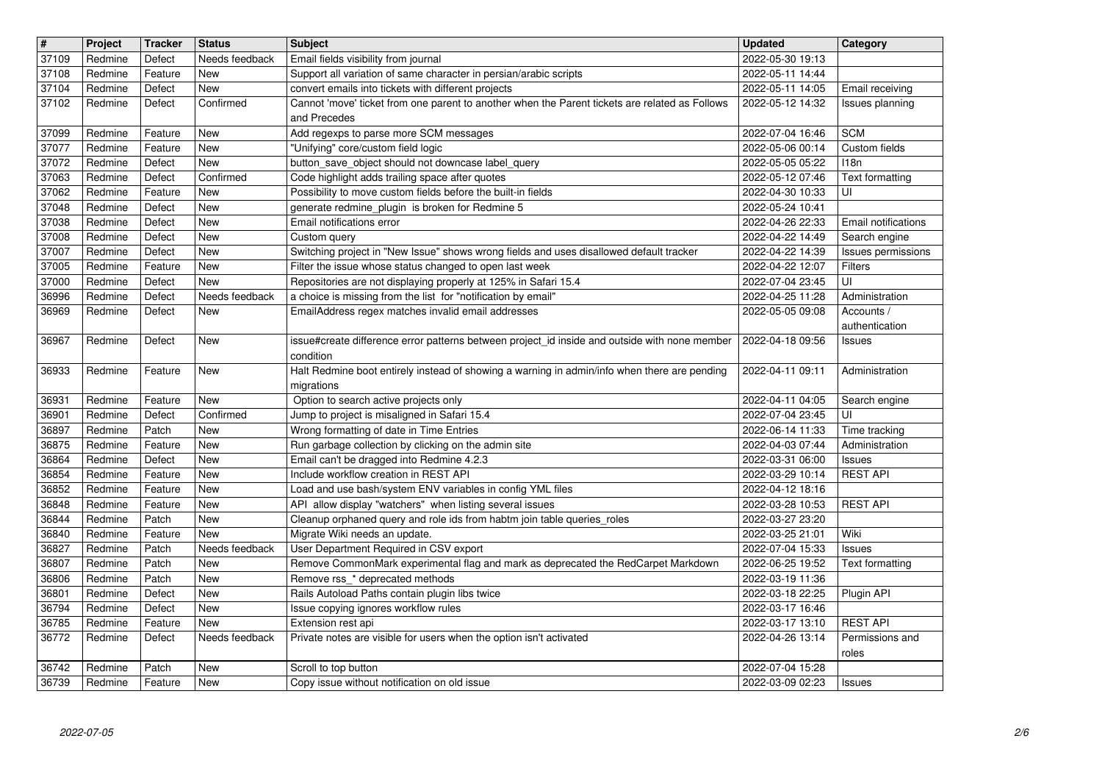| $\overline{\mathbf{H}}$ | Project            | Tracker           | <b>Status</b>         | <b>Subject</b>                                                                                                           | <b>Updated</b>                       | Category                                    |
|-------------------------|--------------------|-------------------|-----------------------|--------------------------------------------------------------------------------------------------------------------------|--------------------------------------|---------------------------------------------|
| 37109                   | Redmine            | Defect            | Needs feedback        | Email fields visibility from journal                                                                                     | 2022-05-30 19:13                     |                                             |
| 37108<br>37104          | Redmine<br>Redmine | Feature<br>Defect | New<br>New            | Support all variation of same character in persian/arabic scripts<br>convert emails into tickets with different projects | 2022-05-11 14:44<br>2022-05-11 14:05 | Email receiving                             |
| 37102                   | Redmine            | Defect            | Confirmed             | Cannot 'move' ticket from one parent to another when the Parent tickets are related as Follows                           | 2022-05-12 14:32                     | Issues planning                             |
|                         |                    |                   |                       | and Precedes                                                                                                             |                                      |                                             |
| 37099                   | Redmine            | Feature           | <b>New</b>            | Add regexps to parse more SCM messages                                                                                   | 2022-07-04 16:46                     | <b>SCM</b>                                  |
| 37077<br>37072          | Redmine<br>Redmine | Feature<br>Defect | New<br>New            | "Unifying" core/custom field logic<br>button_save_object should not downcase label_query                                 | 2022-05-06 00:14<br>2022-05-05 05:22 | Custom fields<br>118n                       |
| 37063                   | Redmine            | Defect            | Confirmed             | Code highlight adds trailing space after quotes                                                                          | 2022-05-12 07:46                     | Text formatting                             |
| 37062                   | Redmine            | Feature           | New                   | Possibility to move custom fields before the built-in fields                                                             | 2022-04-30 10:33                     | UI                                          |
| 37048                   | Redmine            | Defect            | New                   | generate redmine_plugin is broken for Redmine 5                                                                          | 2022-05-24 10:41                     |                                             |
| 37038<br>37008          | Redmine<br>Redmine | Defect<br>Defect  | New<br>New            | Email notifications error<br>Custom query                                                                                | 2022-04-26 22:33<br>2022-04-22 14:49 | <b>Email notifications</b><br>Search engine |
| 37007                   | Redmine            | Defect            | <b>New</b>            | Switching project in "New Issue" shows wrong fields and uses disallowed default tracker                                  | 2022-04-22 14:39                     | Issues permissions                          |
| 37005                   | Redmine            | Feature           | New                   | Filter the issue whose status changed to open last week                                                                  | 2022-04-22 12:07                     | <b>Filters</b>                              |
| 37000                   | Redmine            | Defect            | New                   | Repositories are not displaying properly at 125% in Safari 15.4                                                          | 2022-07-04 23:45                     | UI                                          |
| 36996<br>36969          | Redmine<br>Redmine | Defect<br>Defect  | Needs feedback<br>New | a choice is missing from the list for "notification by email"<br>EmailAddress regex matches invalid email addresses      | 2022-04-25 11:28<br>2022-05-05 09:08 | Administration<br>Accounts /                |
|                         |                    |                   |                       |                                                                                                                          |                                      | authentication                              |
| 36967                   | Redmine            | Defect            | <b>New</b>            | issue#create difference error patterns between project id inside and outside with none member                            | 2022-04-18 09:56                     | <b>Issues</b>                               |
|                         |                    |                   |                       | condition                                                                                                                | 2022-04-11 09:11                     |                                             |
| 36933                   | Redmine            | Feature           | <b>New</b>            | Halt Redmine boot entirely instead of showing a warning in admin/info when there are pending<br>migrations               |                                      | Administration                              |
| 36931                   | Redmine            | Feature           | <b>New</b>            | Option to search active projects only                                                                                    | 2022-04-11 04:05                     | Search engine                               |
| 36901                   | Redmine            | Defect            | Confirmed             | Jump to project is misaligned in Safari 15.4                                                                             | 2022-07-04 23:45                     | UI                                          |
| 36897<br>36875          | Redmine<br>Redmine | Patch<br>Feature  | <b>New</b><br>New     | Wrong formatting of date in Time Entries<br>Run garbage collection by clicking on the admin site                         | 2022-06-14 11:33<br>2022-04-03 07:44 | Time tracking<br>Administration             |
| 36864                   | Redmine            | Defect            | New                   | Email can't be dragged into Redmine 4.2.3                                                                                | 2022-03-31 06:00                     | <b>Issues</b>                               |
| 36854                   | Redmine            | Feature           | New                   | Include workflow creation in REST API                                                                                    | 2022-03-29 10:14                     | <b>REST API</b>                             |
| 36852                   | Redmine            | Feature           | New                   | Load and use bash/system ENV variables in config YML files                                                               | 2022-04-12 18:16                     |                                             |
| 36848                   | Redmine            | Feature<br>Patch  | New<br><b>New</b>     | API allow display "watchers" when listing several issues                                                                 | 2022-03-28 10:53                     | <b>REST API</b>                             |
| 36844<br>36840          | Redmine<br>Redmine | Feature           | New                   | Cleanup orphaned query and role ids from habtm join table queries_roles<br>Migrate Wiki needs an update.                 | 2022-03-27 23:20<br>2022-03-25 21:01 | Wiki                                        |
| 36827                   | Redmine            | Patch             | Needs feedback        | User Department Required in CSV export                                                                                   | 2022-07-04 15:33                     | <b>Issues</b>                               |
| 36807                   | Redmine            | Patch             | New                   | Remove CommonMark experimental flag and mark as deprecated the RedCarpet Markdown                                        | 2022-06-25 19:52                     | Text formatting                             |
| 36806                   | Redmine            | Patch             | New                   | Remove rss_* deprecated methods<br>Rails Autoload Paths contain plugin libs twice                                        | 2022-03-19 11:36                     |                                             |
| 36801<br>36794          | Redmine<br>Redmine | Defect<br>Defect  | New<br>New            | Issue copying ignores workflow rules                                                                                     | 2022-03-18 22:25<br>2022-03-17 16:46 | Plugin API                                  |
| 36785                   | Redmine            | Feature           | <b>New</b>            | Extension rest api                                                                                                       | 2022-03-17 13:10                     | <b>REST API</b>                             |
| 36772                   | Redmine            | Defect            | Needs feedback        | Private notes are visible for users when the option isn't activated                                                      | 2022-04-26 13:14                     | Permissions and                             |
| 36742                   | Redmine            | Patch             | New                   | Scroll to top button                                                                                                     | 2022-07-04 15:28                     | roles                                       |
| 36739                   | Redmine            | Feature           | New                   | Copy issue without notification on old issue                                                                             | 2022-03-09 02:23                     | <b>Issues</b>                               |
|                         |                    |                   |                       |                                                                                                                          |                                      |                                             |
|                         |                    |                   |                       |                                                                                                                          |                                      |                                             |
|                         |                    |                   |                       |                                                                                                                          |                                      |                                             |
|                         |                    |                   |                       |                                                                                                                          |                                      |                                             |
|                         |                    |                   |                       |                                                                                                                          |                                      |                                             |
|                         |                    |                   |                       |                                                                                                                          |                                      |                                             |
|                         |                    |                   |                       |                                                                                                                          |                                      |                                             |
|                         |                    |                   |                       |                                                                                                                          |                                      |                                             |
|                         |                    |                   |                       |                                                                                                                          |                                      |                                             |
|                         |                    |                   |                       |                                                                                                                          |                                      |                                             |
|                         |                    |                   |                       |                                                                                                                          |                                      |                                             |
|                         |                    |                   |                       |                                                                                                                          |                                      |                                             |
|                         |                    |                   |                       |                                                                                                                          |                                      |                                             |
|                         |                    |                   |                       |                                                                                                                          |                                      |                                             |
|                         |                    |                   |                       |                                                                                                                          |                                      |                                             |
|                         |                    |                   |                       |                                                                                                                          |                                      |                                             |
|                         |                    |                   |                       |                                                                                                                          |                                      |                                             |
|                         |                    |                   |                       |                                                                                                                          |                                      |                                             |
|                         |                    |                   |                       |                                                                                                                          |                                      |                                             |
|                         |                    |                   |                       |                                                                                                                          |                                      |                                             |
|                         |                    |                   |                       |                                                                                                                          |                                      |                                             |
|                         |                    |                   |                       |                                                                                                                          |                                      |                                             |
|                         |                    |                   |                       |                                                                                                                          |                                      |                                             |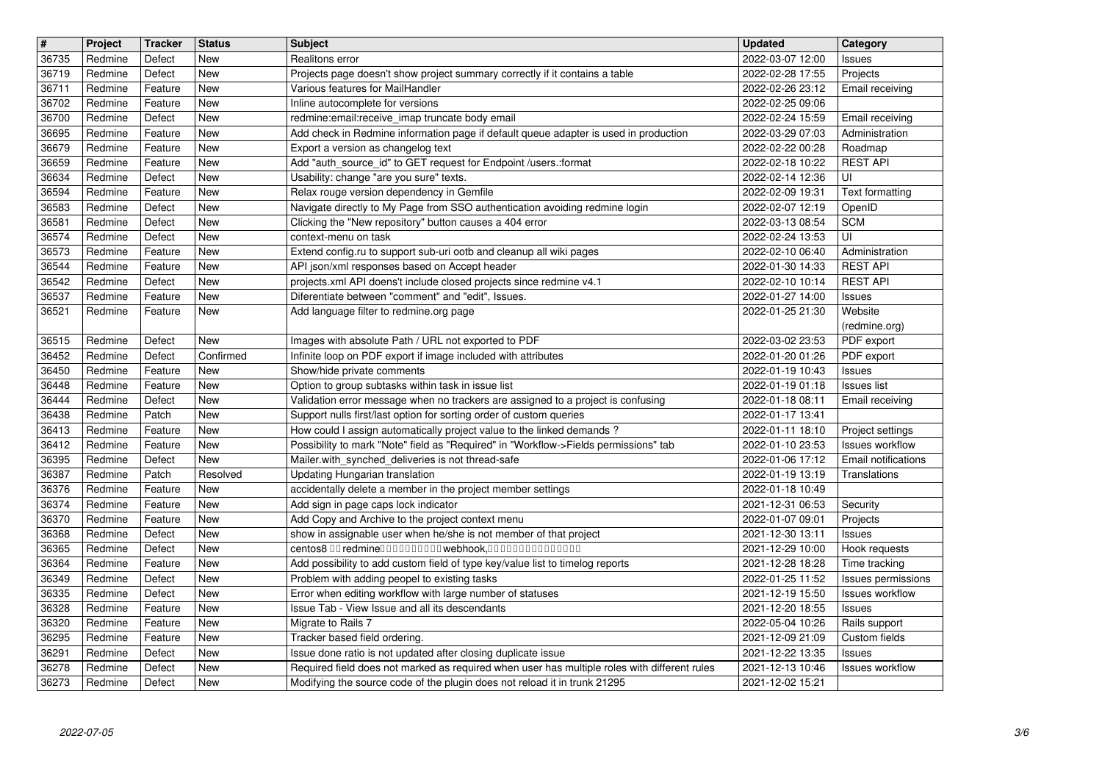| $\overline{\mathbf{H}}$ | Project            | <b>Tracker</b>     | <b>Status</b>     | <b>Subject</b>                                                                                                                                                            | <b>Updated</b>                       | Category                                      |
|-------------------------|--------------------|--------------------|-------------------|---------------------------------------------------------------------------------------------------------------------------------------------------------------------------|--------------------------------------|-----------------------------------------------|
| 36735<br>36719          | Redmine<br>Redmine | Defect<br>Defect   | <b>New</b><br>New | Realitons error<br>Projects page doesn't show project summary correctly if it contains a table                                                                            | 2022-03-07 12:00<br>2022-02-28 17:55 | <b>Issues</b><br>Projects                     |
| 36711                   | Redmine            | Feature            | New               | Various features for MailHandler                                                                                                                                          | 2022-02-26 23:12                     | Email receiving                               |
| 36702                   | Redmine            | Feature            | New               | Inline autocomplete for versions                                                                                                                                          | 2022-02-25 09:06                     |                                               |
| 36700<br>36695          | Redmine<br>Redmine | Defect<br>Feature  | New<br>New        | redmine:email:receive_imap truncate body email<br>Add check in Redmine information page if default queue adapter is used in production                                    | 2022-02-24 15:59<br>2022-03-29 07:03 | Email receiving<br>Administration             |
| 36679                   | Redmine            | Feature            | New               | Export a version as changelog text                                                                                                                                        | 2022-02-22 00:28                     | Roadmap                                       |
| 36659                   | Redmine            | Feature            | New               | Add "auth_source_id" to GET request for Endpoint /users.:format                                                                                                           | 2022-02-18 10:22                     | <b>REST API</b><br>UI                         |
| 36634<br>36594          | Redmine<br>Redmine | Defect<br>Feature  | New<br>New        | Usability: change "are you sure" texts.<br>Relax rouge version dependency in Gemfile                                                                                      | 2022-02-14 12:36<br>2022-02-09 19:31 | <b>Text formatting</b>                        |
| 36583                   | Redmine            | Defect             | New               | Navigate directly to My Page from SSO authentication avoiding redmine login                                                                                               | 2022-02-07 12:19                     | OpenID                                        |
| 36581<br>36574          | Redmine<br>Redmine | Defect<br>Defect   | New<br>New        | Clicking the "New repository" button causes a 404 error<br>context-menu on task                                                                                           | 2022-03-13 08:54<br>2022-02-24 13:53 | <b>SCM</b><br>UI                              |
| 36573                   | Redmine            | Feature            | New               | Extend config.ru to support sub-uri ootb and cleanup all wiki pages                                                                                                       | 2022-02-10 06:40                     | Administration                                |
| 36544                   | Redmine            | Feature            | New               | API json/xml responses based on Accept header                                                                                                                             | 2022-01-30 14:33                     | <b>REST API</b>                               |
| 36542<br>36537          | Redmine<br>Redmine | Defect<br>Feature  | New<br>New        | projects.xml API doens't include closed projects since redmine v4.1<br>Diferentiate between "comment" and "edit", Issues.                                                 | 2022-02-10 10:14<br>2022-01-27 14:00 | <b>REST API</b><br>Issues                     |
| 36521                   | Redmine            | Feature            | New               | Add language filter to redmine.org page                                                                                                                                   | 2022-01-25 21:30                     | Website                                       |
|                         |                    |                    |                   |                                                                                                                                                                           |                                      | (redmine.org)                                 |
| 36515<br>36452          | Redmine<br>Redmine | Defect<br>Defect   | New<br>Confirmed  | Images with absolute Path / URL not exported to PDF<br>Infinite loop on PDF export if image included with attributes                                                      | 2022-03-02 23:53<br>2022-01-20 01:26 | PDF export<br>PDF export                      |
| 36450                   | Redmine            | Feature            | <b>New</b>        | Show/hide private comments                                                                                                                                                | 2022-01-19 10:43                     | Issues                                        |
| 36448<br>36444          | Redmine<br>Redmine | Feature<br>Defect  | New<br>New        | Option to group subtasks within task in issue list                                                                                                                        | 2022-01-19 01:18<br>2022-01-18 08:11 | <b>Issues list</b>                            |
| 36438                   | Redmine            | Patch              | New               | Validation error message when no trackers are assigned to a project is confusing<br>Support nulls first/last option for sorting order of custom queries                   | 2022-01-17 13:41                     | Email receiving                               |
| 36413                   | Redmine            | Feature            | New               | How could I assign automatically project value to the linked demands?                                                                                                     | 2022-01-11 18:10                     | Project settings                              |
| 36412<br>36395          | Redmine<br>Redmine | Feature<br>Defect  | New<br>New        | Possibility to mark "Note" field as "Required" in "Workflow->Fields permissions" tab<br>Mailer.with_synched_deliveries is not thread-safe                                 | 2022-01-10 23:53<br>2022-01-06 17:12 | <b>Issues workflow</b><br>Email notifications |
| 36387                   | Redmine            | Patch              | Resolved          | Updating Hungarian translation                                                                                                                                            | 2022-01-19 13:19                     | Translations                                  |
| 36376                   | Redmine            | Feature            | New               | accidentally delete a member in the project member settings                                                                                                               | 2022-01-18 10:49                     |                                               |
| 36374<br>36370          | Redmine<br>Redmine | Feature<br>Feature | <b>New</b><br>New | Add sign in page caps lock indicator<br>Add Copy and Archive to the project context menu                                                                                  | 2021-12-31 06:53<br>2022-01-07 09:01 | Security<br>Projects                          |
| 36368                   | Redmine            | Defect             | New               | show in assignable user when he/she is not member of that project                                                                                                         | 2021-12-30 13:11                     | Issues                                        |
| 36365                   | Redmine            | Defect             | New               | centos8 00 redmine0000000000 webhook,000000000000000                                                                                                                      | 2021-12-29 10:00                     | Hook requests                                 |
| 36364<br>36349          | Redmine<br>Redmine | Feature<br>Defect  | New<br>New        | Add possibility to add custom field of type key/value list to timelog reports<br>Problem with adding peopel to existing tasks                                             | 2021-12-28 18:28<br>2022-01-25 11:52 | Time tracking<br>Issues permissions           |
| 36335                   | Redmine            | Defect             | New               | Error when editing workflow with large number of statuses                                                                                                                 | 2021-12-19 15:50                     | <b>Issues workflow</b>                        |
| 36328                   | Redmine            | Feature            | New               | Issue Tab - View Issue and all its descendants                                                                                                                            | 2021-12-20 18:55                     | Issues                                        |
| 36320<br>36295          | Redmine<br>Redmine | Feature<br>Feature | <b>New</b><br>New | Migrate to Rails 7<br>Tracker based field ordering.                                                                                                                       | 2022-05-04 10:26<br>2021-12-09 21:09 | Rails support<br>Custom fields                |
| 36291                   | Redmine            | Defect             | New               | Issue done ratio is not updated after closing duplicate issue                                                                                                             | 2021-12-22 13:35                     | Issues                                        |
| 36278<br>36273          | Redmine<br>Redmine | Defect<br>Defect   | New<br>New        | Required field does not marked as required when user has multiple roles with different rules<br>Modifying the source code of the plugin does not reload it in trunk 21295 | 2021-12-13 10:46<br>2021-12-02 15:21 | <b>Issues workflow</b>                        |
|                         |                    |                    |                   |                                                                                                                                                                           |                                      |                                               |
|                         |                    |                    |                   |                                                                                                                                                                           |                                      |                                               |
|                         |                    |                    |                   |                                                                                                                                                                           |                                      |                                               |
|                         |                    |                    |                   |                                                                                                                                                                           |                                      |                                               |
|                         |                    |                    |                   |                                                                                                                                                                           |                                      |                                               |
|                         |                    |                    |                   |                                                                                                                                                                           |                                      |                                               |
|                         |                    |                    |                   |                                                                                                                                                                           |                                      |                                               |
|                         |                    |                    |                   |                                                                                                                                                                           |                                      |                                               |
|                         |                    |                    |                   |                                                                                                                                                                           |                                      |                                               |
|                         |                    |                    |                   |                                                                                                                                                                           |                                      |                                               |
|                         |                    |                    |                   |                                                                                                                                                                           |                                      |                                               |
|                         |                    |                    |                   |                                                                                                                                                                           |                                      |                                               |
|                         |                    |                    |                   |                                                                                                                                                                           |                                      |                                               |
|                         |                    |                    |                   |                                                                                                                                                                           |                                      |                                               |
|                         |                    |                    |                   |                                                                                                                                                                           |                                      |                                               |
|                         |                    |                    |                   |                                                                                                                                                                           |                                      |                                               |
|                         |                    |                    |                   |                                                                                                                                                                           |                                      |                                               |
|                         |                    |                    |                   |                                                                                                                                                                           |                                      |                                               |
|                         |                    |                    |                   |                                                                                                                                                                           |                                      |                                               |
|                         |                    |                    |                   |                                                                                                                                                                           |                                      |                                               |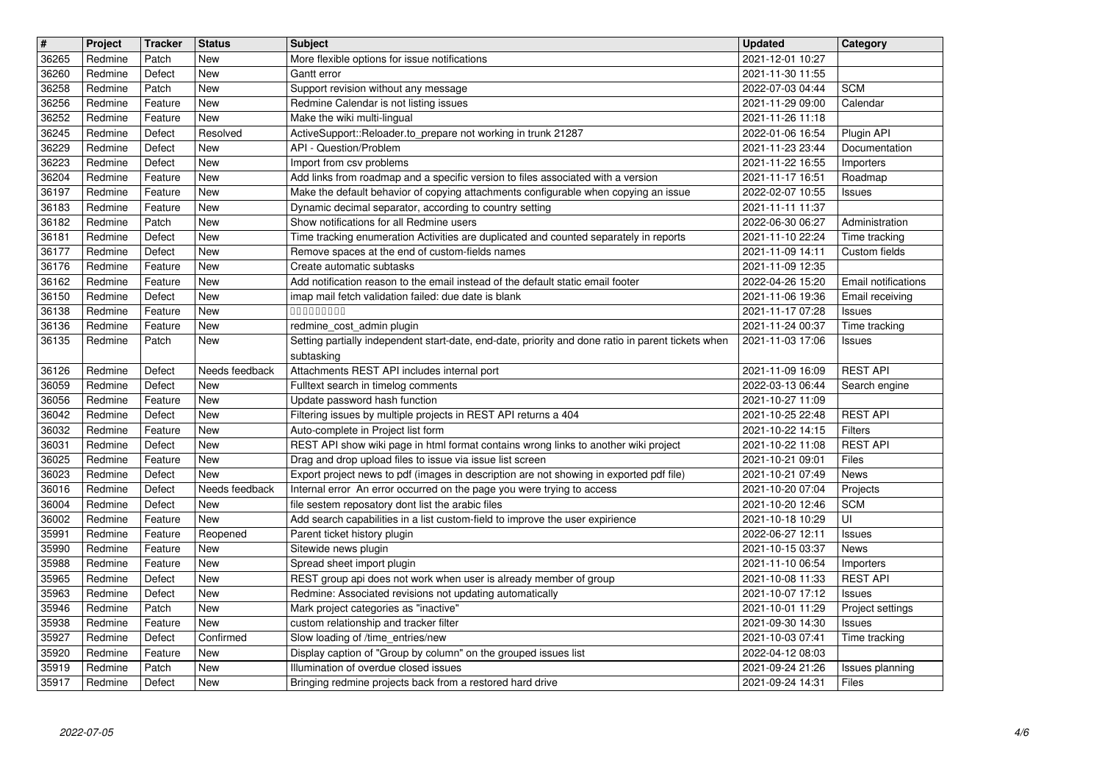| 36265<br>36260<br>36258 | Project            | <b>Tracker</b>     | <b>Status</b>         | <b>Subject</b>                                                                                                                                                    | <b>Updated</b>                       | Category                         |
|-------------------------|--------------------|--------------------|-----------------------|-------------------------------------------------------------------------------------------------------------------------------------------------------------------|--------------------------------------|----------------------------------|
|                         | Redmine<br>Redmine | Patch<br>Defect    | <b>New</b><br>New     | More flexible options for issue notifications<br>Gantt error                                                                                                      | 2021-12-01 10:27<br>2021-11-30 11:55 |                                  |
|                         | Redmine            | Patch              | <b>New</b>            | Support revision without any message                                                                                                                              | 2022-07-03 04:44                     | <b>SCM</b>                       |
| 36256                   | Redmine            | Feature            | New                   | Redmine Calendar is not listing issues                                                                                                                            | 2021-11-29 09:00                     | Calendar                         |
| 36252<br>36245          | Redmine<br>Redmine | Feature<br>Defect  | New<br>Resolved       | Make the wiki multi-lingual<br>ActiveSupport::Reloader.to_prepare not working in trunk 21287                                                                      | 2021-11-26 11:18<br>2022-01-06 16:54 | Plugin API                       |
| 36229                   | Redmine            | Defect             | New                   | API - Question/Problem                                                                                                                                            | 2021-11-23 23:44                     | Documentation                    |
| 36223<br>36204          | Redmine<br>Redmine | Defect<br>Feature  | New<br>New            | Import from csv problems<br>Add links from roadmap and a specific version to files associated with a version                                                      | 2021-11-22 16:55<br>2021-11-17 16:51 | Importers<br>Roadmap             |
| 36197                   | Redmine            | Feature            | <b>New</b>            | Make the default behavior of copying attachments configurable when copying an issue                                                                               | 2022-02-07 10:55                     | <b>Issues</b>                    |
| 36183                   | Redmine            | Feature            | <b>New</b>            | Dynamic decimal separator, according to country setting                                                                                                           | 2021-11-11 11:37                     |                                  |
| 36182<br>36181          | Redmine<br>Redmine | Patch<br>Defect    | New<br>New            | Show notifications for all Redmine users<br>Time tracking enumeration Activities are duplicated and counted separately in reports                                 | 2022-06-30 06:27<br>2021-11-10 22:24 | Administration<br>Time tracking  |
| $361\overline{77}$      | Redmine            | Defect             | New                   | Remove spaces at the end of custom-fields names                                                                                                                   | 2021-11-09 14:11                     | Custom fields                    |
| 36176<br>36162          | Redmine<br>Redmine | Feature<br>Feature | New<br>New            | Create automatic subtasks<br>Add notification reason to the email instead of the default static email footer                                                      | 2021-11-09 12:35<br>2022-04-26 15:20 | Email notifications              |
| 36150                   | Redmine            | Defect             | New                   | imap mail fetch validation failed: due date is blank                                                                                                              | 2021-11-06 19:36                     | Email receiving                  |
| 36138                   | Redmine            | Feature            | New                   | 000000000                                                                                                                                                         | 2021-11-17 07:28                     | Issues                           |
| 36136<br>36135          | Redmine<br>Redmine | Feature<br>Patch   | New<br>New            | redmine cost admin plugin<br>Setting partially independent start-date, end-date, priority and done ratio in parent tickets when                                   | 2021-11-24 00:37<br>2021-11-03 17:06 | Time tracking<br>Issues          |
|                         |                    |                    |                       | subtasking                                                                                                                                                        |                                      |                                  |
| 36126<br>36059          | Redmine<br>Redmine | Defect<br>Defect   | Needs feedback<br>New | Attachments REST API includes internal port<br>Fulltext search in timelog comments                                                                                | 2021-11-09 16:09<br>2022-03-13 06:44 | <b>REST API</b><br>Search engine |
| 36056                   | Redmine            | Feature            | New                   | Update password hash function                                                                                                                                     | 2021-10-27 11:09                     |                                  |
| 36042                   | Redmine            | Defect             | New                   | Filtering issues by multiple projects in REST API returns a 404                                                                                                   | 2021-10-25 22:48                     | <b>REST API</b>                  |
| 36032<br>36031          | Redmine<br>Redmine | Feature<br>Defect  | New<br>New            | Auto-complete in Project list form<br>REST API show wiki page in html format contains wrong links to another wiki project                                         | 2021-10-22 14:15<br>2021-10-22 11:08 | Filters<br><b>REST API</b>       |
| 36025                   | Redmine            | Feature            | <b>New</b>            | Drag and drop upload files to issue via issue list screen                                                                                                         | 2021-10-21 09:01                     | Files                            |
| 36023<br>36016          | Redmine<br>Redmine | Defect<br>Defect   | New<br>Needs feedback | Export project news to pdf (images in description are not showing in exported pdf file)<br>Internal error An error occurred on the page you were trying to access | 2021-10-21 07:49<br>2021-10-20 07:04 | News<br>Projects                 |
| 36004                   | Redmine            | Defect             | New                   | file sestem reposatory dont list the arabic files                                                                                                                 | 2021-10-20 12:46                     | <b>SCM</b>                       |
| 36002                   | Redmine            | Feature            | New                   | Add search capabilities in a list custom-field to improve the user expirience                                                                                     | 2021-10-18 10:29                     | UI                               |
| 35991<br>35990          | Redmine<br>Redmine | Feature<br>Feature | Reopened<br>New       | Parent ticket history plugin<br>Sitewide news plugin                                                                                                              | 2022-06-27 12:11<br>2021-10-15 03:37 | <b>Issues</b><br>News            |
| 35988                   | Redmine            | Feature            | New                   | Spread sheet import plugin                                                                                                                                        | 2021-11-10 06:54                     | Importers                        |
| 35965<br>35963          | Redmine<br>Redmine | Defect<br>Defect   | New<br>New            | REST group api does not work when user is already member of group<br>Redmine: Associated revisions not updating automatically                                     | 2021-10-08 11:33<br>2021-10-07 17:12 | <b>REST API</b><br><b>Issues</b> |
| 35946                   | Redmine            | Patch              | New                   | Mark project categories as "inactive"                                                                                                                             | 2021-10-01 11:29                     | Project settings                 |
| 35938                   | Redmine            | Feature            | New                   | custom relationship and tracker filter                                                                                                                            | 2021-09-30 14:30                     | <b>Tissues</b>                   |
| 35927<br>35920          | Redmine<br>Redmine | Defect<br>Feature  | Confirmed<br>New      | Slow loading of /time_entries/new<br>Display caption of "Group by column" on the grouped issues list                                                              | 2021-10-03 07:41<br>2022-04-12 08:03 | Time tracking                    |
| 35919<br>35917          | Redmine<br>Redmine | Patch<br>Defect    | New<br>New            | Illumination of overdue closed issues<br>Bringing redmine projects back from a restored hard drive                                                                | 2021-09-24 21:26<br>2021-09-24 14:31 | Issues planning<br>Files         |
|                         |                    |                    |                       |                                                                                                                                                                   |                                      |                                  |
|                         |                    |                    |                       |                                                                                                                                                                   |                                      |                                  |
|                         |                    |                    |                       |                                                                                                                                                                   |                                      |                                  |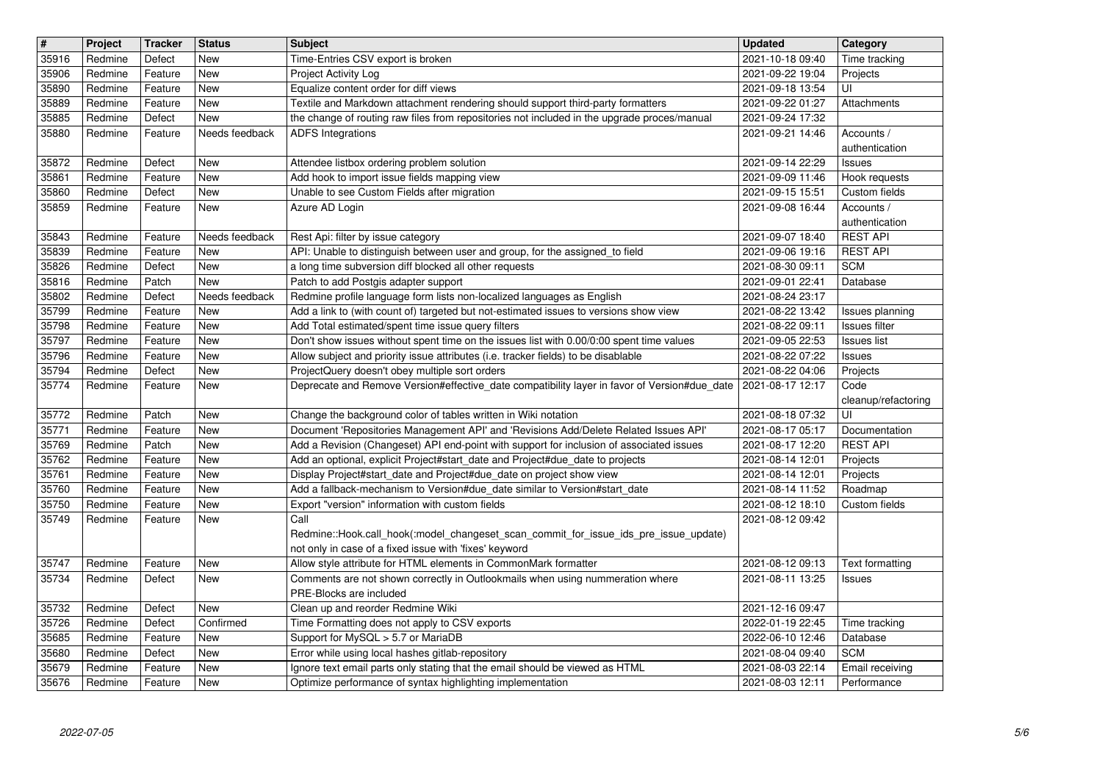| #              | Project            | <b>Tracker</b>     | <b>Status</b>                | <b>Subject</b>                                                                                                                                                                 | <b>Updated</b>                       | Category                            |
|----------------|--------------------|--------------------|------------------------------|--------------------------------------------------------------------------------------------------------------------------------------------------------------------------------|--------------------------------------|-------------------------------------|
| 35916<br>35906 | Redmine<br>Redmine | Defect<br>Feature  | <b>New</b><br>New            | Time-Entries CSV export is broken<br>Project Activity Log                                                                                                                      | 2021-10-18 09:40<br>2021-09-22 19:04 | Time tracking<br>Projects           |
| 35890          | Redmine            | Feature            | New                          | Equalize content order for diff views                                                                                                                                          | 2021-09-18 13:54                     | UI                                  |
| 35889          | Redmine            | Feature            | New                          | Textile and Markdown attachment rendering should support third-party formatters                                                                                                | 2021-09-22 01:27                     | Attachments                         |
| 35885<br>35880 | Redmine<br>Redmine | Defect<br>Feature  | <b>New</b><br>Needs feedback | the change of routing raw files from repositories not included in the upgrade proces/manual<br><b>ADFS Integrations</b>                                                        | 2021-09-24 17:32<br>2021-09-21 14:46 | Accounts /                          |
|                |                    |                    |                              |                                                                                                                                                                                |                                      | authentication                      |
| 35872          | Redmine            | Defect             | New                          | Attendee listbox ordering problem solution                                                                                                                                     | 2021-09-14 22:29                     | <b>Issues</b>                       |
| 35861<br>35860 | Redmine<br>Redmine | Feature<br>Defect  | New<br><b>New</b>            | Add hook to import issue fields mapping view<br>Unable to see Custom Fields after migration                                                                                    | 2021-09-09 11:46<br>2021-09-15 15:51 | Hook requests<br>Custom fields      |
| 35859          | Redmine            | Feature            | New                          | Azure AD Login                                                                                                                                                                 | 2021-09-08 16:44                     | Accounts /                          |
| 35843          | Redmine            | Feature            | Needs feedback               | Rest Api: filter by issue category                                                                                                                                             | 2021-09-07 18:40                     | authentication<br><b>REST API</b>   |
| 35839          | Redmine            | Feature            | New                          | API: Unable to distinguish between user and group, for the assigned_to field                                                                                                   | 2021-09-06 19:16                     | <b>REST API</b>                     |
| 35826          | Redmine            | Defect             | New                          | a long time subversion diff blocked all other requests                                                                                                                         | 2021-08-30 09:11                     | <b>SCM</b>                          |
| 35816<br>35802 | Redmine<br>Redmine | Patch<br>Defect    | New<br>Needs feedback        | Patch to add Postgis adapter support<br>Redmine profile language form lists non-localized languages as English                                                                 | 2021-09-01 22:41<br>2021-08-24 23:17 | Database                            |
| 35799          | Redmine            | Feature            | New                          | Add a link to (with count of) targeted but not-estimated issues to versions show view                                                                                          | 2021-08-22 13:42                     | Issues planning                     |
| 35798          | Redmine            | Feature            | New                          | Add Total estimated/spent time issue query filters                                                                                                                             | 2021-08-22 09:11                     | Issues filter                       |
| 35797<br>35796 | Redmine<br>Redmine | Feature<br>Feature | New<br>New                   | Don't show issues without spent time on the issues list with 0.00/0:00 spent time values<br>Allow subject and priority issue attributes (i.e. tracker fields) to be disablable | 2021-09-05 22:53<br>2021-08-22 07:22 | <b>Issues list</b><br><b>Issues</b> |
| 35794          | Redmine            | Defect             | <b>New</b>                   | ProjectQuery doesn't obey multiple sort orders                                                                                                                                 | 2021-08-22 04:06                     | Projects                            |
| 35774          | Redmine            | Feature            | New                          | Deprecate and Remove Version#effective_date compatibility layer in favor of Version#due_date                                                                                   | 2021-08-17 12:17                     | Code                                |
| 35772          | Redmine            | Patch              | <b>New</b>                   | Change the background color of tables written in Wiki notation                                                                                                                 | 2021-08-18 07:32                     | cleanup/refactoring<br>UI           |
| 35771          | Redmine            | Feature            | New                          | Document 'Repositories Management API' and 'Revisions Add/Delete Related Issues API'                                                                                           | 2021-08-17 05:17                     | Documentation                       |
| 35769<br>35762 | Redmine<br>Redmine | Patch<br>Feature   | New<br>New                   | Add a Revision (Changeset) API end-point with support for inclusion of associated issues<br>Add an optional, explicit Project#start_date and Project#due_date to projects      | 2021-08-17 12:20<br>2021-08-14 12:01 | <b>REST API</b><br>Projects         |
| 35761          | Redmine            | Feature            | New                          | Display Project#start_date and Project#due_date on project show view                                                                                                           | 2021-08-14 12:01                     | Projects                            |
| 35760          | Redmine            | Feature            | New                          | Add a fallback-mechanism to Version#due_date similar to Version#start_date                                                                                                     | 2021-08-14 11:52                     | Roadmap                             |
| 35750<br>35749 | Redmine<br>Redmine | Feature<br>Feature | <b>New</b><br>New            | Export "version" information with custom fields<br>Call                                                                                                                        | 2021-08-12 18:10<br>2021-08-12 09:42 | Custom fields                       |
|                |                    |                    |                              | Redmine::Hook.call_hook(:model_changeset_scan_commit_for_issue_ids_pre_issue_update)                                                                                           |                                      |                                     |
|                |                    |                    |                              | not only in case of a fixed issue with 'fixes' keyword                                                                                                                         |                                      |                                     |
| 35747<br>35734 | Redmine<br>Redmine | Feature<br>Defect  | New<br>New                   | Allow style attribute for HTML elements in CommonMark formatter<br>Comments are not shown correctly in Outlookmails when using nummeration where                               | 2021-08-12 09:13<br>2021-08-11 13:25 | Text formatting<br>Issues           |
|                |                    |                    |                              | PRE-Blocks are included                                                                                                                                                        |                                      |                                     |
| 35732          | Redmine            | Defect             | New                          | Clean up and reorder Redmine Wiki                                                                                                                                              | 2021-12-16 09:47                     |                                     |
| 35726<br>35685 | Redmine<br>Redmine | Defect<br>Feature  | Confirmed<br>New             | Time Formatting does not apply to CSV exports<br>Support for MySQL > 5.7 or MariaDB                                                                                            | 2022-01-19 22:45<br>2022-06-10 12:46 | Time tracking<br>Database           |
| 35680          | Redmine            | Defect             | New                          | Error while using local hashes gitlab-repository                                                                                                                               | 2021-08-04 09:40                     | <b>SCM</b>                          |
| 35679<br>35676 | Redmine<br>Redmine | Feature<br>Feature | New<br>New                   | Ignore text email parts only stating that the email should be viewed as HTML<br>Optimize performance of syntax highlighting implementation                                     | 2021-08-03 22:14<br>2021-08-03 12:11 | Email receiving<br>Performance      |
|                |                    |                    |                              |                                                                                                                                                                                |                                      |                                     |
|                |                    |                    |                              |                                                                                                                                                                                |                                      |                                     |
|                |                    |                    |                              |                                                                                                                                                                                |                                      |                                     |
|                |                    |                    |                              |                                                                                                                                                                                |                                      |                                     |
|                |                    |                    |                              |                                                                                                                                                                                |                                      |                                     |
|                |                    |                    |                              |                                                                                                                                                                                |                                      |                                     |
|                |                    |                    |                              |                                                                                                                                                                                |                                      |                                     |
|                |                    |                    |                              |                                                                                                                                                                                |                                      |                                     |
|                |                    |                    |                              |                                                                                                                                                                                |                                      |                                     |
|                |                    |                    |                              |                                                                                                                                                                                |                                      |                                     |
|                |                    |                    |                              |                                                                                                                                                                                |                                      |                                     |
|                |                    |                    |                              |                                                                                                                                                                                |                                      |                                     |
|                |                    |                    |                              |                                                                                                                                                                                |                                      |                                     |
|                |                    |                    |                              |                                                                                                                                                                                |                                      |                                     |
|                |                    |                    |                              |                                                                                                                                                                                |                                      |                                     |
|                |                    |                    |                              |                                                                                                                                                                                |                                      |                                     |
|                |                    |                    |                              |                                                                                                                                                                                |                                      |                                     |
|                |                    |                    |                              |                                                                                                                                                                                |                                      |                                     |